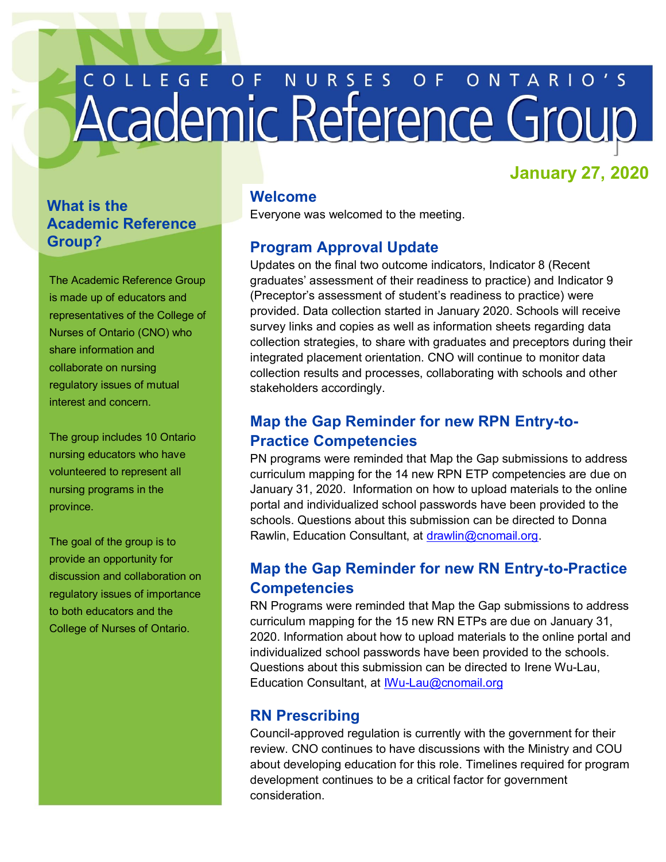# COLLEGE OF NURSES OF ONTARIO'S

# **January 27, 2020**

# **What is the Academic Reference Group?**

 The Academic Reference Group is made up of educators and representatives of the College of Nurses of Ontario (CNO) who share information and collaborate on nursing regulatory issues of mutual interest and concern.

 The group includes 10 Ontario nursing educators who have volunteered to represent all nursing programs in the province.

 The goal of the group is to provide an opportunity for discussion and collaboration on regulatory issues of importance to both educators and the College of Nurses of Ontario.

### **Welcome**

Everyone was welcomed to the meeting.

# **Program Approval Update**

 Updates on the final two outcome indicators, Indicator 8 (Recent graduates' assessment of their readiness to practice) and Indicator 9 provided. Data collection started in January 2020. Schools will receive survey links and copies as well as information sheets regarding data collection strategies, to share with graduates and preceptors during their integrated placement orientation. CNO will continue to monitor data collection results and processes, collaborating with schools and other (Preceptor's assessment of student's readiness to practice) were stakeholders accordingly.

# **Map the Gap Reminder for new RPN Entry-to-Practice Competencies**

PN programs were reminded that Map the Gap submissions to address curriculum mapping for the 14 new RPN ETP competencies are due on January 31, 2020. Information on how to upload materials to the online portal and individualized school passwords have been provided to the schools. Questions about this submission can be directed to Donna Rawlin, Education Consultant, at [drawlin@cnomail.org.](mailto:drawlin@cnomail.org)

# **Map the Gap Reminder for new RN Entry-to-Practice Competencies**

RN Programs were reminded that Map the Gap submissions to address curriculum mapping for the 15 new RN ETPs are due on January 31, 2020. Information about how to upload materials to the online portal and individualized school passwords have been provided to the schools. Questions about this submission can be directed to Irene Wu-Lau, Education Consultant, at [IWu-Lau@cnomail.org](mailto:IWu-Lau@cnomail.org) 

# **RN Prescribing**

 Council-approved regulation is currently with the government for their review. CNO continues to have discussions with the Ministry and COU about developing education for this role. Timelines required for program development continues to be a critical factor for government consideration.